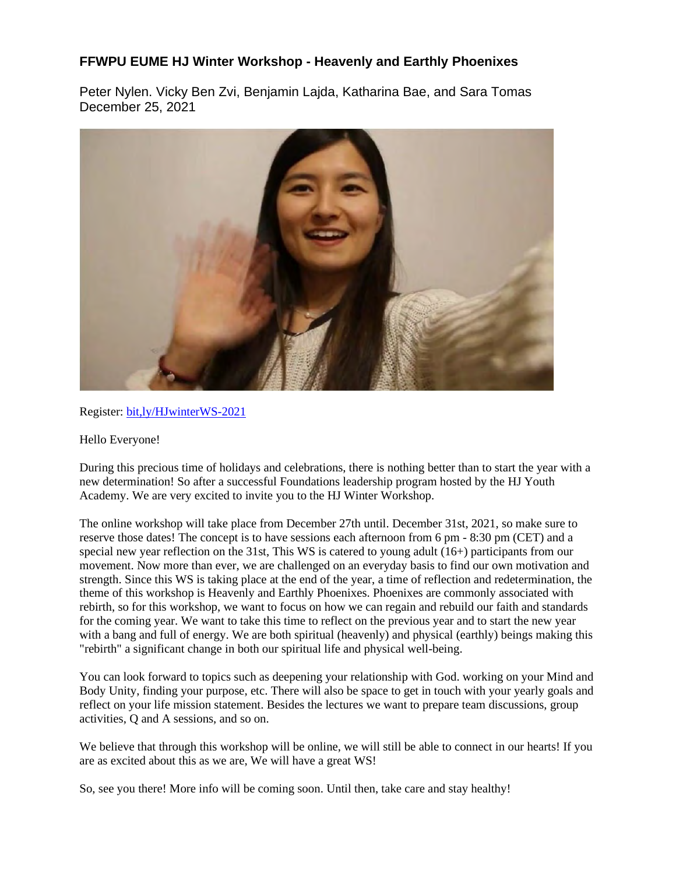## **FFWPU EUME HJ Winter Workshop - Heavenly and Earthly Phoenixes**

Peter Nylen. Vicky Ben Zvi, Benjamin Lajda, Katharina Bae, and Sara Tomas December 25, 2021



Register: bit,ly/HJwinterWS-2021

## Hello Everyone!

During this precious time of holidays and celebrations, there is nothing better than to start the year with a new determination! So after a successful Foundations leadership program hosted by the HJ Youth Academy. We are very excited to invite you to the HJ Winter Workshop.

The online workshop will take place from December 27th until. December 31st, 2021, so make sure to reserve those dates! The concept is to have sessions each afternoon from 6 pm - 8:30 pm (CET) and a special new year reflection on the 31st, This WS is catered to young adult (16+) participants from our movement. Now more than ever, we are challenged on an everyday basis to find our own motivation and strength. Since this WS is taking place at the end of the year, a time of reflection and redetermination, the theme of this workshop is Heavenly and Earthly Phoenixes. Phoenixes are commonly associated with rebirth, so for this workshop, we want to focus on how we can regain and rebuild our faith and standards for the coming year. We want to take this time to reflect on the previous year and to start the new year with a bang and full of energy. We are both spiritual (heavenly) and physical (earthly) beings making this "rebirth" a significant change in both our spiritual life and physical well-being.

You can look forward to topics such as deepening your relationship with God. working on your Mind and Body Unity, finding your purpose, etc. There will also be space to get in touch with your yearly goals and reflect on your life mission statement. Besides the lectures we want to prepare team discussions, group activities, Q and A sessions, and so on.

We believe that through this workshop will be online, we will still be able to connect in our hearts! If you are as excited about this as we are, We will have a great WS!

So, see you there! More info will be coming soon. Until then, take care and stay healthy!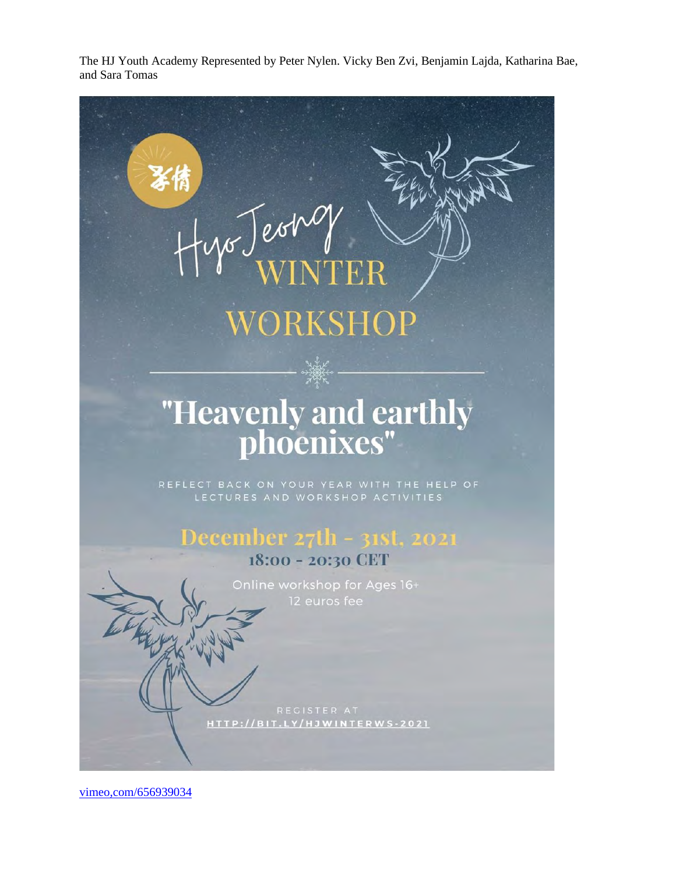The HJ Youth Academy Represented by Peter Nylen. Vicky Ben Zvi, Benjamin Lajda, Katharina Bae, and Sara Tomas

## ) est $\omega$ ORKSHOP "Heavenly and earthly<br>phoenixes" December 27th - 31st, 2021 18:00 - 20:30 CET Online workshop for Ages 16+ HTTP://BIT.LY/HJWINTERWS-2021

vimeo,com/656939034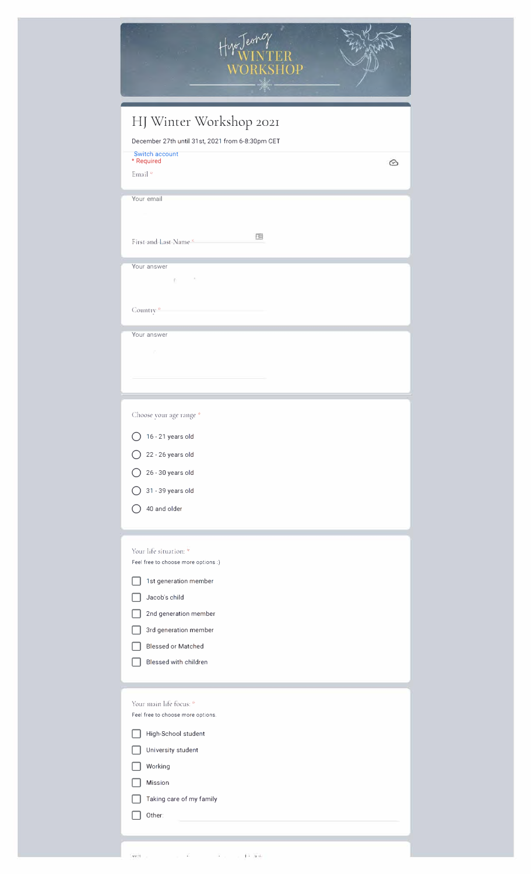

| December 27th until 31st, 2021 from 6-8:30pm CET              |   |
|---------------------------------------------------------------|---|
| Switch account<br>* Required                                  | 企 |
| Email*                                                        |   |
|                                                               |   |
| Your email                                                    |   |
|                                                               |   |
| 囤<br>First and Last Name <sup>x</sup>                         |   |
|                                                               |   |
| Your answer<br>š                                              |   |
| Ŧi.                                                           |   |
| Country <sup>*</sup>                                          |   |
|                                                               |   |
| Your answer                                                   |   |
|                                                               |   |
|                                                               |   |
|                                                               |   |
|                                                               |   |
| Choose your age range *                                       |   |
| 16 - 21 years old                                             |   |
| 22 - 26 years old                                             |   |
| 26 - 30 years old                                             |   |
| 31 - 39 years old                                             |   |
| 40 and older                                                  |   |
|                                                               |   |
|                                                               |   |
| Your life situation: *<br>Feel free to choose more options :) |   |
|                                                               |   |
| 1st generation member<br>Jacob's child                        |   |
|                                                               |   |
| 2nd generation member<br>3rd generation member                |   |
| <b>Blessed or Matched</b>                                     |   |
| Blessed with children                                         |   |
|                                                               |   |
|                                                               |   |
| Your main life focus: *                                       |   |
| Feel free to choose more options.                             |   |
| High-School student                                           |   |
| University student                                            |   |
| Working                                                       |   |
| <b>Mission</b>                                                |   |
| Taking care of my family                                      |   |